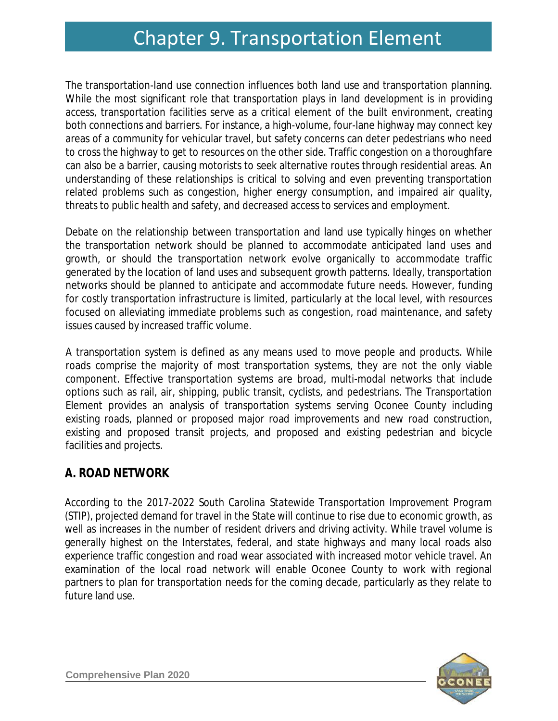# Chapter 9. Transportation Element Chapter 9. Transportation Element

The transportation-land use connection influences both land use and transportation planning. While the most significant role that transportation plays in land development is in providing access, transportation facilities serve as a critical element of the built environment, creating both connections and barriers. For instance, a high-volume, four-lane highway may connect key areas of a community for vehicular travel, but safety concerns can deter pedestrians who need to cross the highway to get to resources on the other side. Traffic congestion on a thoroughfare can also be a barrier, causing motorists to seek alternative routes through residential areas. An understanding of these relationships is critical to solving and even preventing transportation related problems such as congestion, higher energy consumption, and impaired air quality, threats to public health and safety, and decreased access to services and employment.

Debate on the relationship between transportation and land use typically hinges on whether the transportation network should be planned to accommodate anticipated land uses and growth, or should the transportation network evolve organically to accommodate traffic generated by the location of land uses and subsequent growth patterns. Ideally, transportation networks should be planned to anticipate and accommodate future needs. However, funding for costly transportation infrastructure is limited, particularly at the local level, with resources focused on alleviating immediate problems such as congestion, road maintenance, and safety issues caused by increased traffic volume.

A transportation system is defined as any means used to move people and products. While roads comprise the majority of most transportation systems, they are not the only viable component. Effective transportation systems are broad, multi-modal networks that include options such as rail, air, shipping, public transit, cyclists, and pedestrians. The Transportation Element provides an analysis of transportation systems serving Oconee County including existing roads, planned or proposed major road improvements and new road construction, existing and proposed transit projects, and proposed and existing pedestrian and bicycle facilities and projects.

## **A. ROAD NETWORK**

According to the *2017-2022 South Carolina Statewide Transportation Improvement Program (STIP)*, projected demand for travel in the State will continue to rise due to economic growth, as well as increases in the number of resident drivers and driving activity. While travel volume is generally highest on the Interstates, federal, and state highways and many local roads also experience traffic congestion and road wear associated with increased motor vehicle travel. An examination of the local road network will enable Oconee County to work with regional partners to plan for transportation needs for the coming decade, particularly as they relate to future land use.

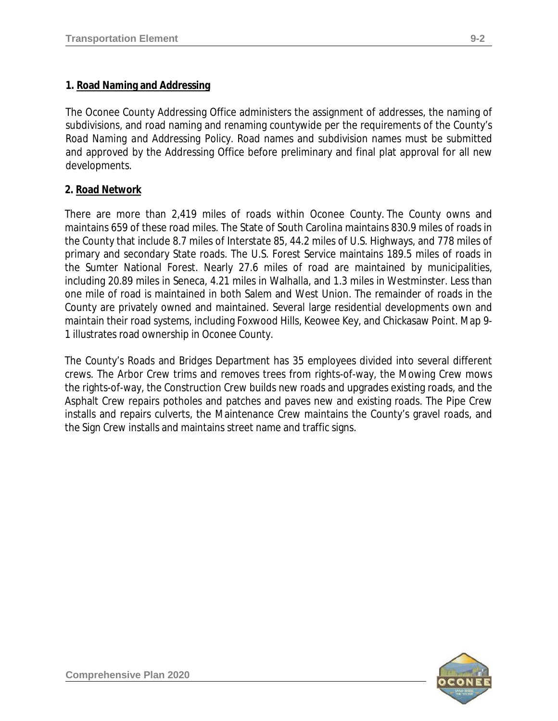## **1. Road Naming and Addressing**

The Oconee County Addressing Office administers the assignment of addresses, the naming of subdivisions, and road naming and renaming countywide per the requirements of the County's *Road Naming and Addressing Policy*. Road names and subdivision names must be submitted and approved by the Addressing Office before preliminary and final plat approval for all new developments.

## **2. Road Network**

There are more than 2,419 miles of roads within Oconee County. The County owns and maintains 659 of these road miles. The State of South Carolina maintains 830.9 miles of roads in the County that include 8.7 miles of Interstate 85, 44.2 miles of U.S. Highways, and 778 miles of primary and secondary State roads. The U.S. Forest Service maintains 189.5 miles of roads in the Sumter National Forest. Nearly 27.6 miles of road are maintained by municipalities, including 20.89 miles in Seneca, 4.21 miles in Walhalla, and 1.3 miles in Westminster. Less than one mile of road is maintained in both Salem and West Union. The remainder of roads in the County are privately owned and maintained. Several large residential developments own and maintain their road systems, including Foxwood Hills, Keowee Key, and Chickasaw Point. Map 9- 1 illustrates road ownership in Oconee County.

The County's Roads and Bridges Department has 35 employees divided into several different crews. The Arbor Crew trims and removes trees from rights-of-way, the Mowing Crew mows the rights-of-way, the Construction Crew builds new roads and upgrades existing roads, and the Asphalt Crew repairs potholes and patches and paves new and existing roads. The Pipe Crew installs and repairs culverts, the Maintenance Crew maintains the County's gravel roads, and the Sign Crew installs and maintains street name and traffic signs.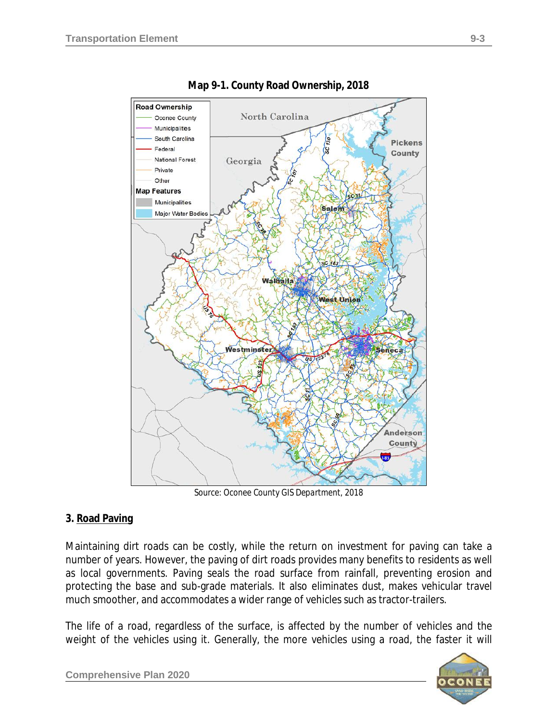

**Map 9-1. County Road Ownership, 2018**

*Source: Oconee County GIS Department, 2018*

#### **3. Road Paving**

Maintaining dirt roads can be costly, while the return on investment for paving can take a number of years. However, the paving of dirt roads provides many benefits to residents as well as local governments. Paving seals the road surface from rainfall, preventing erosion and protecting the base and sub-grade materials. It also eliminates dust, makes vehicular travel much smoother, and accommodates a wider range of vehicles such as tractor-trailers.

The life of a road, regardless of the surface, is affected by the number of vehicles and the weight of the vehicles using it. Generally, the more vehicles using a road, the faster it will



**Comprehensive Plan 2020**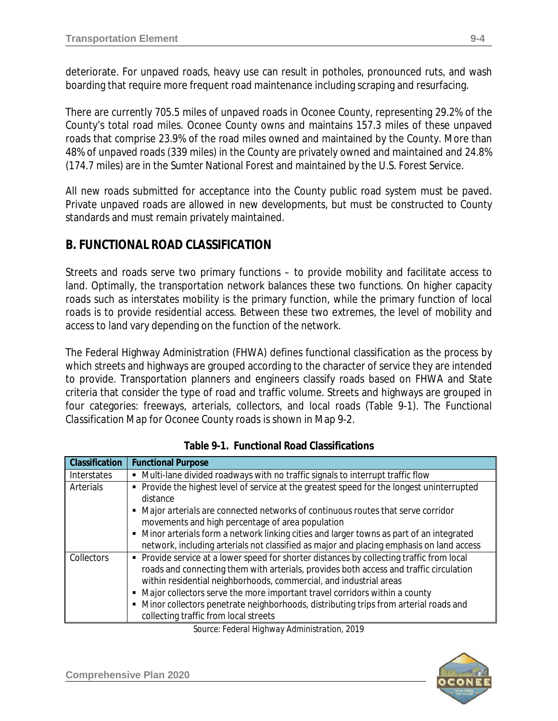deteriorate. For unpaved roads, heavy use can result in potholes, pronounced ruts, and wash boarding that require more frequent road maintenance including scraping and resurfacing.

There are currently 705.5 miles of unpaved roads in Oconee County, representing 29.2% of the County's total road miles. Oconee County owns and maintains 157.3 miles of these unpaved roads that comprise 23.9% of the road miles owned and maintained by the County. More than 48% of unpaved roads (339 miles) in the County are privately owned and maintained and 24.8% (174.7 miles) are in the Sumter National Forest and maintained by the U.S. Forest Service.

All new roads submitted for acceptance into the County public road system must be paved. Private unpaved roads are allowed in new developments, but must be constructed to County standards and must remain privately maintained.

# **B. FUNCTIONAL ROAD CLASSIFICATION**

Streets and roads serve two primary functions – to provide mobility and facilitate access to land. Optimally, the transportation network balances these two functions. On higher capacity roads such as interstates mobility is the primary function, while the primary function of local roads is to provide residential access. Between these two extremes, the level of mobility and access to land vary depending on the function of the network.

The Federal Highway Administration (FHWA) defines functional classification as the process by which streets and highways are grouped according to the character of service they are intended to provide. Transportation planners and engineers classify roads based on FHWA and State criteria that consider the type of road and traffic volume. Streets and highways are grouped in four categories: freeways, arterials, collectors, and local roads (Table 9-1). The *Functional Classification Map* for Oconee County roads is shown in Map 9-2.

| Classification | <b>Functional Purpose</b>                                                                                                                                                                                                                                                                                                                                                                                                                                                    |
|----------------|------------------------------------------------------------------------------------------------------------------------------------------------------------------------------------------------------------------------------------------------------------------------------------------------------------------------------------------------------------------------------------------------------------------------------------------------------------------------------|
| Interstates    | Multi-lane divided roadways with no traffic signals to interrupt traffic flow                                                                                                                                                                                                                                                                                                                                                                                                |
| Arterials      | • Provide the highest level of service at the greatest speed for the longest uninterrupted<br>distance<br>• Major arterials are connected networks of continuous routes that serve corridor<br>movements and high percentage of area population<br>• Minor arterials form a network linking cities and larger towns as part of an integrated                                                                                                                                 |
|                | network, including arterials not classified as major and placing emphasis on land access                                                                                                                                                                                                                                                                                                                                                                                     |
| Collectors     | • Provide service at a lower speed for shorter distances by collecting traffic from local<br>roads and connecting them with arterials, provides both access and traffic circulation<br>within residential neighborhoods, commercial, and industrial areas<br>• Major collectors serve the more important travel corridors within a county<br>• Minor collectors penetrate neighborhoods, distributing trips from arterial roads and<br>collecting traffic from local streets |

*Source: Federal Highway Administration, 2019*

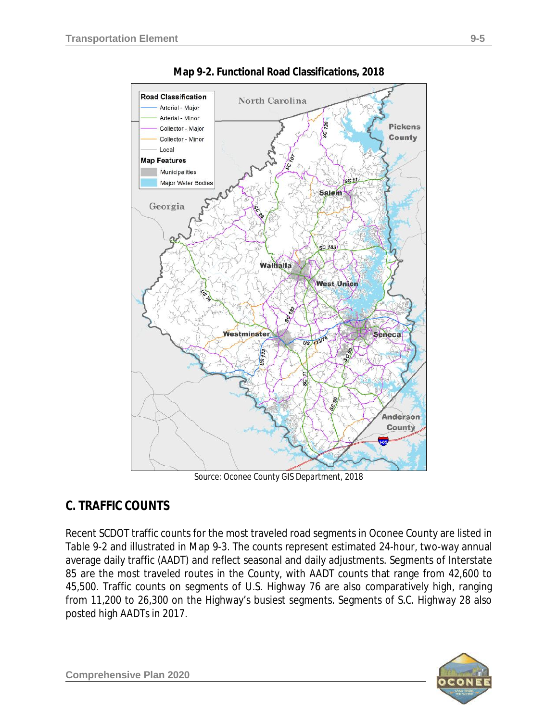

**Map 9-2. Functional Road Classifications, 2018**

*Source: Oconee County GIS Department, 2018*

# **C. TRAFFIC COUNTS**

Recent SCDOT traffic counts for the most traveled road segments in Oconee County are listed in Table 9-2 and illustrated in Map 9-3. The counts represent estimated 24-hour, two-way annual average daily traffic (AADT) and reflect seasonal and daily adjustments. Segments of Interstate 85 are the most traveled routes in the County, with AADT counts that range from 42,600 to 45,500. Traffic counts on segments of U.S. Highway 76 are also comparatively high, ranging from 11,200 to 26,300 on the Highway's busiest segments. Segments of S.C. Highway 28 also posted high AADTs in 2017.

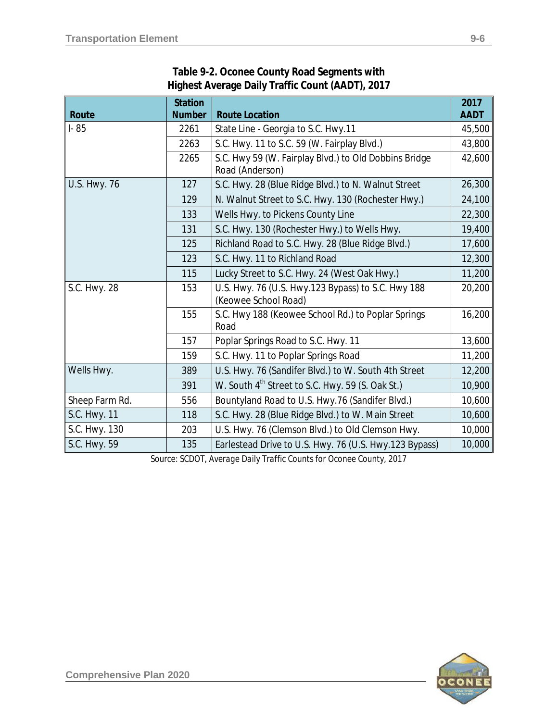|                     | <b>Station</b> |                                                                            | 2017        |
|---------------------|----------------|----------------------------------------------------------------------------|-------------|
| Route               | <b>Number</b>  | <b>Route Location</b>                                                      | <b>AADT</b> |
| $I - 85$            | 2261           | State Line - Georgia to S.C. Hwy.11                                        | 45,500      |
|                     | 2263           | S.C. Hwy. 11 to S.C. 59 (W. Fairplay Blvd.)                                | 43,800      |
|                     | 2265           | S.C. Hwy 59 (W. Fairplay Blvd.) to Old Dobbins Bridge<br>Road (Anderson)   | 42,600      |
| <b>U.S. Hwy. 76</b> | 127            | S.C. Hwy. 28 (Blue Ridge Blvd.) to N. Walnut Street                        | 26,300      |
|                     | 129            | N. Walnut Street to S.C. Hwy. 130 (Rochester Hwy.)                         | 24,100      |
|                     | 133            | Wells Hwy. to Pickens County Line                                          | 22,300      |
|                     | 131            | S.C. Hwy. 130 (Rochester Hwy.) to Wells Hwy.                               | 19,400      |
|                     | 125            | Richland Road to S.C. Hwy. 28 (Blue Ridge Blvd.)                           | 17,600      |
|                     | 123            | S.C. Hwy. 11 to Richland Road                                              | 12,300      |
|                     | 115            | Lucky Street to S.C. Hwy. 24 (West Oak Hwy.)                               | 11,200      |
| S.C. Hwy. 28        | 153            | U.S. Hwy. 76 (U.S. Hwy.123 Bypass) to S.C. Hwy 188<br>(Keowee School Road) | 20,200      |
|                     | 155            | S.C. Hwy 188 (Keowee School Rd.) to Poplar Springs<br>Road                 | 16,200      |
|                     | 157            | Poplar Springs Road to S.C. Hwy. 11                                        | 13,600      |
|                     | 159            | S.C. Hwy. 11 to Poplar Springs Road                                        | 11,200      |
| Wells Hwy.          | 389            | U.S. Hwy. 76 (Sandifer Blvd.) to W. South 4th Street                       | 12,200      |
|                     | 391            | W. South 4 <sup>th</sup> Street to S.C. Hwy. 59 (S. Oak St.)               | 10,900      |
| Sheep Farm Rd.      | 556            | Bountyland Road to U.S. Hwy.76 (Sandifer Blvd.)                            | 10,600      |
| S.C. Hwy. 11        | 118            | S.C. Hwy. 28 (Blue Ridge Blvd.) to W. Main Street                          | 10,600      |
| S.C. Hwy. 130       | 203            | U.S. Hwy. 76 (Clemson Blvd.) to Old Clemson Hwy.                           | 10,000      |
| S.C. Hwy. 59        | 135            | Earlestead Drive to U.S. Hwy. 76 (U.S. Hwy.123 Bypass)                     | 10,000      |

## **Table 9-2. Oconee County Road Segments with Highest Average Daily Traffic Count (AADT), 2017**

*Source: SCDOT, Average Daily Traffic Counts for Oconee County, 2017*

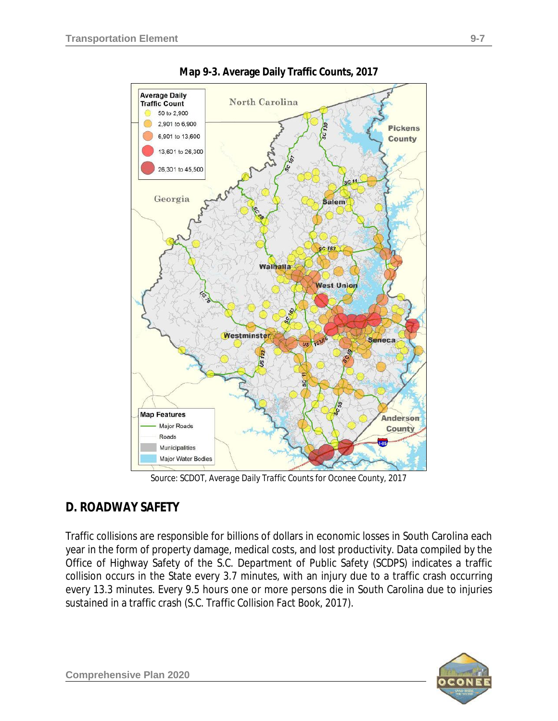



*Source: SCDOT, Average Daily Traffic Counts for Oconee County, 2017*

# **D. ROADWAY SAFETY**

Traffic collisions are responsible for billions of dollars in economic losses in South Carolina each year in the form of property damage, medical costs, and lost productivity. Data compiled by the Office of Highway Safety of the S.C. Department of Public Safety (SCDPS) indicates a traffic collision occurs in the State every 3.7 minutes, with an injury due to a traffic crash occurring every 13.3 minutes. Every 9.5 hours one or more persons die in South Carolina due to injuries sustained in a traffic crash *(S.C. Traffic Collision Fact Book, 2017)*.

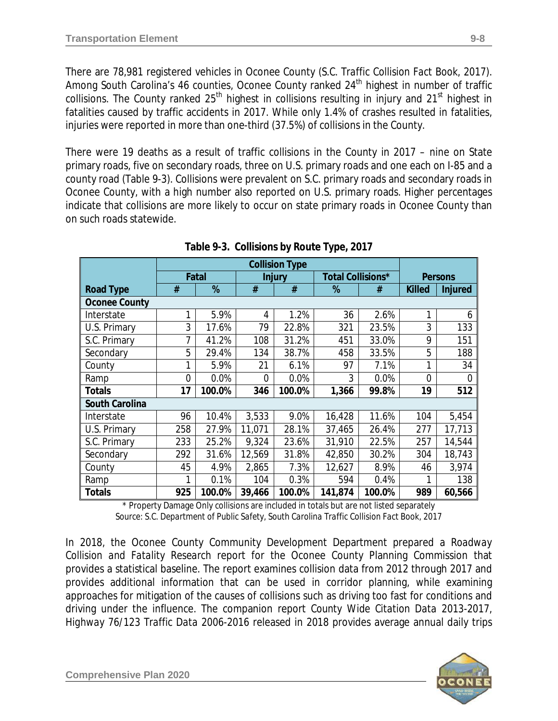There are 78,981 registered vehicles in Oconee County *(S.C. Traffic Collision Fact Book, 2017)*. Among South Carolina's 46 counties, Oconee County ranked 24<sup>th</sup> highest in number of traffic collisions. The County ranked 25<sup>th</sup> highest in collisions resulting in injury and 21<sup>st</sup> highest in fatalities caused by traffic accidents in 2017. While only 1.4% of crashes resulted in fatalities, injuries were reported in more than one-third (37.5%) of collisions in the County.

There were 19 deaths as a result of traffic collisions in the County in 2017 – nine on State primary roads, five on secondary roads, three on U.S. primary roads and one each on I-85 and a county road (Table 9-3). Collisions were prevalent on S.C. primary roads and secondary roads in Oconee County, with a high number also reported on U.S. primary roads. Higher percentages indicate that collisions are more likely to occur on state primary roads in Oconee County than on such roads statewide.

|                       | <b>Collision Type</b> |        |                |               |         |                   |                |                |
|-----------------------|-----------------------|--------|----------------|---------------|---------|-------------------|----------------|----------------|
|                       |                       | Fatal  |                | <b>Injury</b> |         | Total Collisions* | <b>Persons</b> |                |
| <b>Road Type</b>      | #                     | %      | #              | #             | %       | #                 | <b>Killed</b>  | <b>Injured</b> |
| <b>Oconee County</b>  |                       |        |                |               |         |                   |                |                |
| Interstate            | 1                     | 5.9%   | 4              | 1.2%          | 36      | 2.6%              | 1              | 6              |
| U.S. Primary          | 3                     | 17.6%  | 79             | 22.8%         | 321     | 23.5%             | 3              | 133            |
| S.C. Primary          | 7                     | 41.2%  | 108            | 31.2%         | 451     | 33.0%             | 9              | 151            |
| Secondary             | 5                     | 29.4%  | 134            | 38.7%         | 458     | 33.5%             | 5              | 188            |
| County                | 1                     | 5.9%   | 21             | 6.1%          | 97      | 7.1%              | 1              | 34             |
| Ramp                  | 0                     | 0.0%   | $\overline{0}$ | 0.0%          | 3       | 0.0%              | 0              | 0              |
| <b>Totals</b>         | 17                    | 100.0% | 346            | 100.0%        | 1,366   | 99.8%             | 19             | 512            |
| <b>South Carolina</b> |                       |        |                |               |         |                   |                |                |
| Interstate            | 96                    | 10.4%  | 3,533          | 9.0%          | 16,428  | 11.6%             | 104            | 5,454          |
| U.S. Primary          | 258                   | 27.9%  | 11,071         | 28.1%         | 37,465  | 26.4%             | 277            | 17,713         |
| S.C. Primary          | 233                   | 25.2%  | 9,324          | 23.6%         | 31,910  | 22.5%             | 257            | 14,544         |
| Secondary             | 292                   | 31.6%  | 12,569         | 31.8%         | 42,850  | 30.2%             | 304            | 18,743         |
| County                | 45                    | 4.9%   | 2,865          | 7.3%          | 12,627  | 8.9%              | 46             | 3,974          |
| Ramp                  | 1                     | 0.1%   | 104            | 0.3%          | 594     | 0.4%              | 1              | 138            |
| <b>Totals</b>         | 925                   | 100.0% | 39,466         | 100.0%        | 141,874 | 100.0%            | 989            | 60,566         |

| Table 9-3. Collisions by Route Type, 2017 |  |  |  |
|-------------------------------------------|--|--|--|
|                                           |  |  |  |

\* Property Damage Only collisions are included in totals but are not listed separately *Source: S.C. Department of Public Safety, South Carolina Traffic Collision Fact Book, 2017*

In 2018, the Oconee County Community Development Department prepared a *Roadway Collision and Fatality Research* report for the Oconee County Planning Commission that provides a statistical baseline. The report examines collision data from 2012 through 2017 and provides additional information that can be used in corridor planning, while examining approaches for mitigation of the causes of collisions such as driving too fast for conditions and driving under the influence. The companion report *County Wide Citation Data 2013-2017, Highway 76/123 Traffic Data 2006-2016* released in 2018 provides average annual daily trips

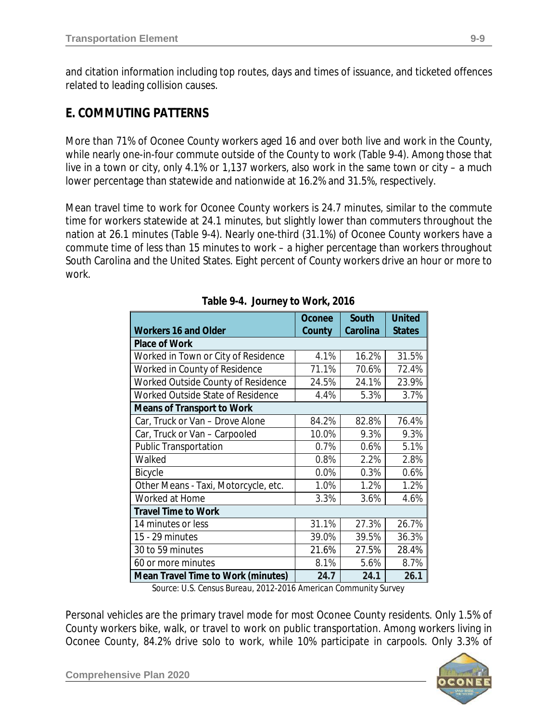and citation information including top routes, days and times of issuance, and ticketed offences related to leading collision causes.

# **E. COMMUTING PATTERNS**

More than 71% of Oconee County workers aged 16 and over both live and work in the County, while nearly one-in-four commute outside of the County to work (Table 9-4). Among those that live in a town or city, only 4.1% or 1,137 workers, also work in the same town or city – a much lower percentage than statewide and nationwide at 16.2% and 31.5%, respectively.

Mean travel time to work for Oconee County workers is 24.7 minutes, similar to the commute time for workers statewide at 24.1 minutes, but slightly lower than commuters throughout the nation at 26.1 minutes (Table 9-4). Nearly one-third (31.1%) of Oconee County workers have a commute time of less than 15 minutes to work – a higher percentage than workers throughout South Carolina and the United States. Eight percent of County workers drive an hour or more to work.

|                                           | Oconee | South    | <b>United</b> |  |  |
|-------------------------------------------|--------|----------|---------------|--|--|
| <b>Workers 16 and Older</b>               | County | Carolina | <b>States</b> |  |  |
| <b>Place of Work</b>                      |        |          |               |  |  |
| Worked in Town or City of Residence       | 4.1%   | 16.2%    | 31.5%         |  |  |
| Worked in County of Residence             | 71.1%  | 70.6%    | 72.4%         |  |  |
| Worked Outside County of Residence        | 24.5%  | 24.1%    | 23.9%         |  |  |
| Worked Outside State of Residence         | 4.4%   | 5.3%     | 3.7%          |  |  |
| <b>Means of Transport to Work</b>         |        |          |               |  |  |
| Car, Truck or Van - Drove Alone           | 84.2%  | 82.8%    | 76.4%         |  |  |
| Car, Truck or Van - Carpooled             | 10.0%  | 9.3%     | 9.3%          |  |  |
| <b>Public Transportation</b>              | 0.7%   | 0.6%     | 5.1%          |  |  |
| Walked                                    | 0.8%   | 2.2%     | 2.8%          |  |  |
| Bicycle                                   | 0.0%   | 0.3%     | 0.6%          |  |  |
| Other Means - Taxi, Motorcycle, etc.      | 1.0%   | 1.2%     | 1.2%          |  |  |
| Worked at Home                            | 3.3%   | 3.6%     | 4.6%          |  |  |
| <b>Travel Time to Work</b>                |        |          |               |  |  |
| 14 minutes or less                        | 31.1%  | 27.3%    | 26.7%         |  |  |
| 15 - 29 minutes                           | 39.0%  | 39.5%    | 36.3%         |  |  |
| 30 to 59 minutes                          | 21.6%  | 27.5%    | 28.4%         |  |  |
| 60 or more minutes                        | 8.1%   | 5.6%     | 8.7%          |  |  |
| <b>Mean Travel Time to Work (minutes)</b> | 24.7   | 24.1     | 26.1          |  |  |

*Source: U.S. Census Bureau, 2012-2016 American Community Survey*

Personal vehicles are the primary travel mode for most Oconee County residents. Only 1.5% of County workers bike, walk, or travel to work on public transportation. Among workers living in Oconee County, 84.2% drive solo to work, while 10% participate in carpools. Only 3.3% of



**Comprehensive Plan 2020**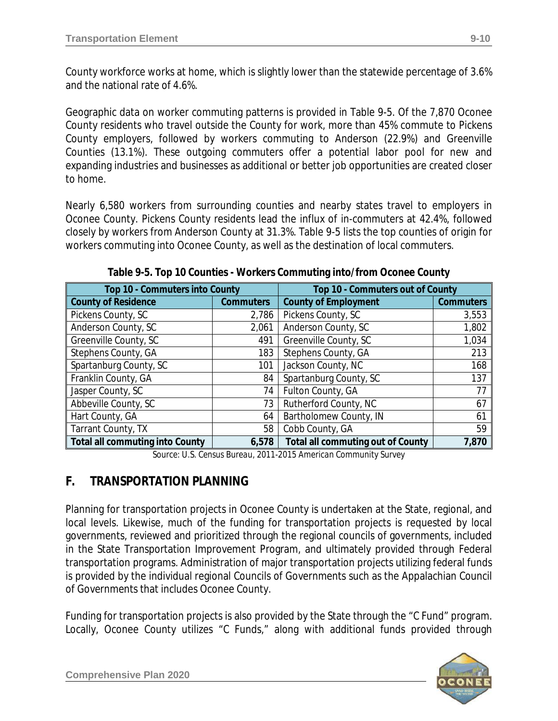County workforce works at home, which is slightly lower than the statewide percentage of 3.6% and the national rate of 4.6%.

Geographic data on worker commuting patterns is provided in Table 9-5. Of the 7,870 Oconee County residents who travel outside the County for work, more than 45% commute to Pickens County employers, followed by workers commuting to Anderson (22.9%) and Greenville Counties (13.1%). These outgoing commuters offer a potential labor pool for new and expanding industries and businesses as additional or better job opportunities are created closer to home.

Nearly 6,580 workers from surrounding counties and nearby states travel to employers in Oconee County. Pickens County residents lead the influx of in-commuters at 42.4%, followed closely by workers from Anderson County at 31.3%. Table 9-5 lists the top counties of origin for workers commuting into Oconee County, as well as the destination of local commuters.

| Top 10 - Commuters into County                  |                                                 | Top 10 - Commuters out of County         |                  |  |
|-------------------------------------------------|-------------------------------------------------|------------------------------------------|------------------|--|
| <b>County of Residence</b>                      | <b>County of Employment</b><br><b>Commuters</b> |                                          | <b>Commuters</b> |  |
| Pickens County, SC                              | 2,786                                           | Pickens County, SC                       | 3,553            |  |
| Anderson County, SC                             | 2,061                                           | Anderson County, SC                      | 1,802            |  |
| Greenville County, SC                           | 491                                             | Greenville County, SC                    | 1,034            |  |
| Stephens County, GA                             | 183                                             | Stephens County, GA                      | 213              |  |
| Spartanburg County, SC                          | 101                                             | Jackson County, NC                       | 168              |  |
| Franklin County, GA                             | 84                                              | Spartanburg County, SC                   | 137              |  |
| Jasper County, SC                               | 74                                              | Fulton County, GA                        | 77               |  |
| Abbeville County, SC                            | 73                                              | Rutherford County, NC                    | 67               |  |
| Hart County, GA                                 | 64                                              | Bartholomew County, IN                   | 61               |  |
| Tarrant County, TX                              | 58                                              | Cobb County, GA                          | 59               |  |
| <b>Total all commuting into County</b><br>6,578 |                                                 | <b>Total all commuting out of County</b> | 7,870            |  |

**Table 9-5. Top 10 Counties - Workers Commuting into/from Oconee County**

*Source: U.S. Census Bureau, 2011-2015 American Community Survey*

# **F. TRANSPORTATION PLANNING**

Planning for transportation projects in Oconee County is undertaken at the State, regional, and local levels. Likewise, much of the funding for transportation projects is requested by local governments, reviewed and prioritized through the regional councils of governments, included in the State Transportation Improvement Program, and ultimately provided through Federal transportation programs. Administration of major transportation projects utilizing federal funds is provided by the individual regional Councils of Governments such as the Appalachian Council of Governments that includes Oconee County.

Funding for transportation projects is also provided by the State through the "C Fund" program. Locally, Oconee County utilizes "C Funds," along with additional funds provided through

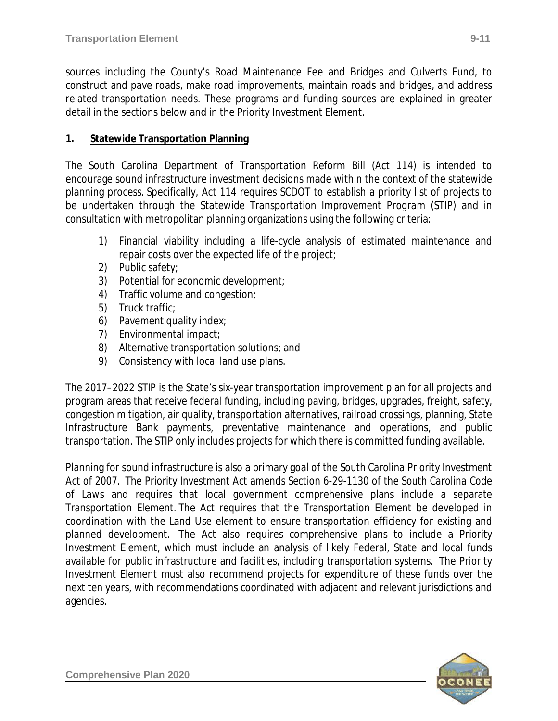sources including the County's Road Maintenance Fee and Bridges and Culverts Fund, to construct and pave roads, make road improvements, maintain roads and bridges, and address related transportation needs. These programs and funding sources are explained in greater detail in the sections below and in the Priority Investment Element.

### **1. Statewide Transportation Planning**

The South Carolina *Department of Transportation Reform Bill* (*Act 114*) is intended to encourage sound infrastructure investment decisions made within the context of the statewide planning process. Specifically, *Act 114* requires SCDOT to establish a priority list of projects to be undertaken through the *Statewide Transportation Improvement Program* (STIP) and in consultation with metropolitan planning organizations using the following criteria:

- 1) Financial viability including a life-cycle analysis of estimated maintenance and repair costs over the expected life of the project;
- 2) Public safety;
- 3) Potential for economic development;
- 4) Traffic volume and congestion;
- 5) Truck traffic;
- 6) Pavement quality index;
- 7) Environmental impact;
- 8) Alternative transportation solutions; and
- 9) Consistency with local land use plans.

The 2017–2022 STIP is the State's six-year transportation improvement plan for all projects and program areas that receive federal funding, including paving, bridges, upgrades, freight, safety, congestion mitigation, air quality, transportation alternatives, railroad crossings, planning, State Infrastructure Bank payments, preventative maintenance and operations, and public transportation. The STIP only includes projects for which there is committed funding available.

Planning for sound infrastructure is also a primary goal of the *South Carolina Priority Investment Act of 2007*. The *Priority Investment Act* amends *Section 6-29-1130* of the *South Carolina Code of Laws* and requires that local government comprehensive plans include a separate Transportation Element. The Act requires that the Transportation Element be developed in coordination with the Land Use element to ensure transportation efficiency for existing and planned development. The Act also requires comprehensive plans to include a Priority Investment Element, which must include an analysis of likely Federal, State and local funds available for public infrastructure and facilities, including transportation systems. The Priority Investment Element must also recommend projects for expenditure of these funds over the next ten years, with recommendations coordinated with adjacent and relevant jurisdictions and agencies.

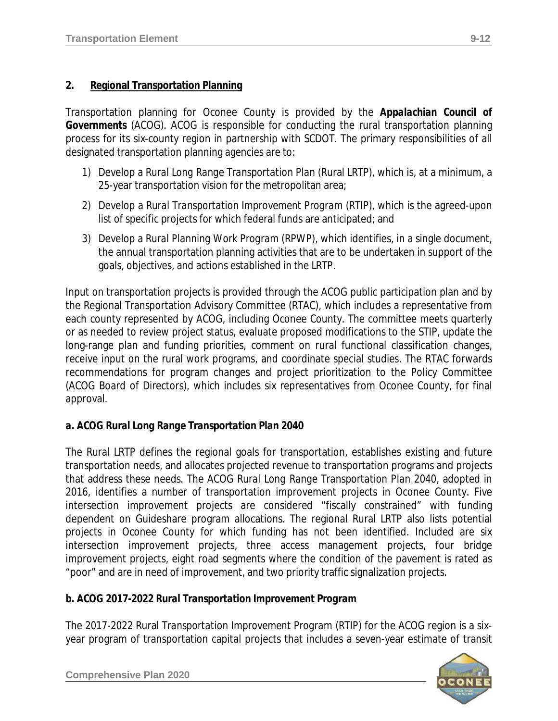Transportation planning for Oconee County is provided by the *Appalachian Council of Governments* (ACOG). ACOG is responsible for conducting the rural transportation planning process for its six-county region in partnership with SCDOT. The primary responsibilities of all designated transportation planning agencies are to:

- 1) Develop a *Rural Long Range Transportation Plan* (Rural LRTP), which is, at a minimum, a 25-year transportation vision for the metropolitan area;
- 2) Develop a *Rural Transportation Improvement Program* (RTIP), which is the agreed-upon list of specific projects for which federal funds are anticipated; and
- 3) Develop a *Rural Planning Work Program* (RPWP), which identifies, in a single document, the annual transportation planning activities that are to be undertaken in support of the goals, objectives, and actions established in the LRTP.

Input on transportation projects is provided through the ACOG public participation plan and by the Regional Transportation Advisory Committee (RTAC), which includes a representative from each county represented by ACOG, including Oconee County. The committee meets quarterly or as needed to review project status, evaluate proposed modifications to the STIP, update the long-range plan and funding priorities, comment on rural functional classification changes, receive input on the rural work programs, and coordinate special studies. The RTAC forwards recommendations for program changes and project prioritization to the Policy Committee (ACOG Board of Directors), which includes six representatives from Oconee County, for final approval.

## *a. ACOG Rural Long Range Transportation Plan 2040*

The Rural LRTP defines the regional goals for transportation, establishes existing and future transportation needs, and allocates projected revenue to transportation programs and projects that address these needs. The ACOG *Rural Long Range Transportation Plan 2040*, adopted in 2016, identifies a number of transportation improvement projects in Oconee County. Five intersection improvement projects are considered "fiscally constrained" with funding dependent on Guideshare program allocations. The regional Rural LRTP also lists potential projects in Oconee County for which funding has not been identified. Included are six intersection improvement projects, three access management projects, four bridge improvement projects, eight road segments where the condition of the pavement is rated as "poor" and are in need of improvement, and two priority traffic signalization projects.

#### *b. ACOG 2017-2022 Rural Transportation Improvement Program*

The 2017-2022 Rural *Transportation Improvement Program* (RTIP) for the ACOG region is a sixyear program of transportation capital projects that includes a seven-year estimate of transit

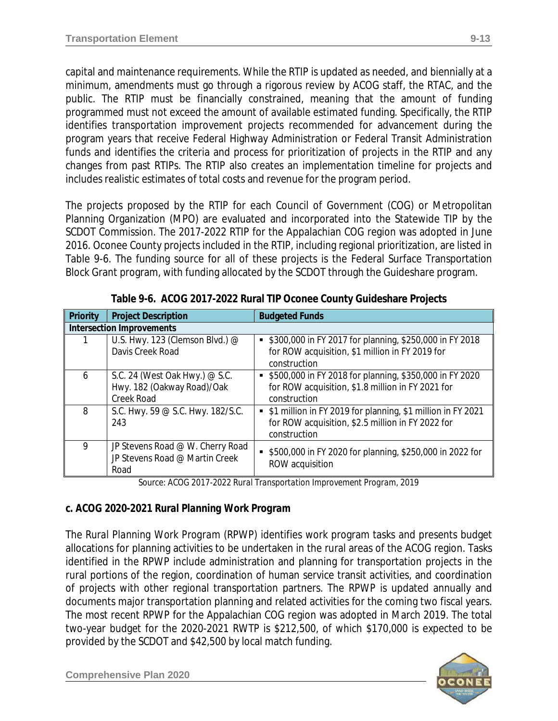capital and maintenance requirements. While the RTIP is updated as needed, and biennially at a minimum, amendments must go through a rigorous review by ACOG staff, the RTAC, and the public. The RTIP must be financially constrained, meaning that the amount of funding programmed must not exceed the amount of available estimated funding. Specifically, the RTIP identifies transportation improvement projects recommended for advancement during the program years that receive Federal Highway Administration or Federal Transit Administration funds and identifies the criteria and process for prioritization of projects in the RTIP and any changes from past RTIPs. The RTIP also creates an implementation timeline for projects and includes realistic estimates of total costs and revenue for the program period.

The projects proposed by the RTIP for each Council of Government (COG) or Metropolitan Planning Organization (MPO) are evaluated and incorporated into the Statewide TIP by the SCDOT Commission. The 2017-2022 RTIP for the Appalachian COG region was adopted in June 2016. Oconee County projects included in the RTIP, including regional prioritization, are listed in Table 9-6. The funding source for all of these projects is the Federal Surface Transportation Block Grant program, with funding allocated by the SCDOT through the Guideshare program.

| Priority | <b>Project Description</b>                                                        | <b>Budgeted Funds</b>                                                                                                              |
|----------|-----------------------------------------------------------------------------------|------------------------------------------------------------------------------------------------------------------------------------|
|          | <b>Intersection Improvements</b>                                                  |                                                                                                                                    |
|          | U.S. Hwy. 123 (Clemson Blvd.) @<br>Davis Creek Road                               | \$300,000 in FY 2017 for planning, \$250,000 in FY 2018<br>for ROW acquisition, \$1 million in FY 2019 for<br>construction         |
| 6        | S.C. 24 (West Oak Hwy.) @ S.C.<br>Hwy. 182 (Oakway Road)/Oak<br><b>Creek Road</b> | \$500,000 in FY 2018 for planning, \$350,000 in FY 2020<br>for ROW acquisition, \$1.8 million in FY 2021 for<br>construction       |
| 8        | S.C. Hwy. 59 @ S.C. Hwy. 182/S.C.<br>243                                          | • \$1 million in FY 2019 for planning, \$1 million in FY 2021<br>for ROW acquisition, \$2.5 million in FY 2022 for<br>construction |
| 9        | JP Stevens Road @ W. Cherry Road<br>JP Stevens Road @ Martin Creek<br>Road        | \$500,000 in FY 2020 for planning, \$250,000 in 2022 for<br>ROW acquisition                                                        |

**Table 9-6. ACOG 2017-2022 Rural TIP Oconee County Guideshare Projects**

*Source: ACOG 2017-2022 Rural Transportation Improvement Program, 2019*

## *c. ACOG 2020-2021 Rural Planning Work Program*

The *Rural Planning Work Program* (RPWP) identifies work program tasks and presents budget allocations for planning activities to be undertaken in the rural areas of the ACOG region. Tasks identified in the RPWP include administration and planning for transportation projects in the rural portions of the region, coordination of human service transit activities, and coordination of projects with other regional transportation partners. The RPWP is updated annually and documents major transportation planning and related activities for the coming two fiscal years. The most recent RPWP for the Appalachian COG region was adopted in March 2019. The total two-year budget for the 2020-2021 RWTP is \$212,500, of which \$170,000 is expected to be provided by the SCDOT and \$42,500 by local match funding.

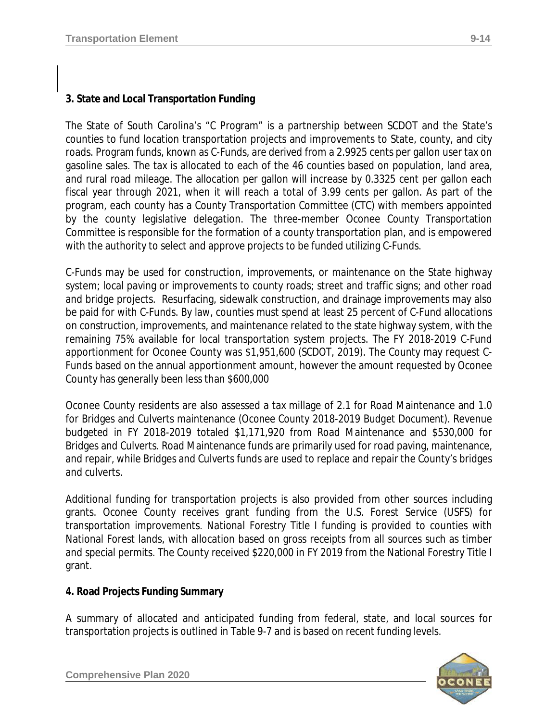## **3. State and Local Transportation Funding**

The State of South Carolina's "C Program" is a partnership between SCDOT and the State's counties to fund location transportation projects and improvements to State, county, and city roads. Program funds, known as C-Funds, are derived from a 2.9925 cents per gallon user tax on gasoline sales. The tax is allocated to each of the 46 counties based on population, land area, and rural road mileage. The allocation per gallon will increase by 0.3325 cent per gallon each fiscal year through 2021, when it will reach a total of 3.99 cents per gallon. As part of the program, each county has a *County Transportation Committee (CTC)* with members appointed by the county legislative delegation. The three-member Oconee County Transportation Committee is responsible for the formation of a county transportation plan, and is empowered with the authority to select and approve projects to be funded utilizing C-Funds.

C-Funds may be used for construction, improvements, or maintenance on the State highway system; local paving or improvements to county roads; street and traffic signs; and other road and bridge projects. Resurfacing, sidewalk construction, and drainage improvements may also be paid for with C-Funds. By law, counties must spend at least 25 percent of C-Fund allocations on construction, improvements, and maintenance related to the state highway system, with the remaining 75% available for local transportation system projects. The FY 2018-2019 C-Fund apportionment for Oconee County was \$1,951,600 *(SCDOT, 2019)*. The County may request C-Funds based on the annual apportionment amount, however the amount requested by Oconee County has generally been less than \$600,000

Oconee County residents are also assessed a tax millage of 2.1 for Road Maintenance and 1.0 for Bridges and Culverts maintenance *(Oconee County 2018-2019 Budget Document)*. Revenue budgeted in FY 2018-2019 totaled \$1,171,920 from Road Maintenance and \$530,000 for Bridges and Culverts. Road Maintenance funds are primarily used for road paving, maintenance, and repair, while Bridges and Culverts funds are used to replace and repair the County's bridges and culverts.

Additional funding for transportation projects is also provided from other sources including grants. Oconee County receives grant funding from the U.S. Forest Service (USFS) for transportation improvements. *National Forestry Title I* funding is provided to counties with National Forest lands, with allocation based on gross receipts from all sources such as timber and special permits. The County received \$220,000 in FY 2019 from the National Forestry Title I grant.

#### **4. Road Projects Funding Summary**

A summary of allocated and anticipated funding from federal, state, and local sources for transportation projects is outlined in Table 9-7 and is based on recent funding levels.

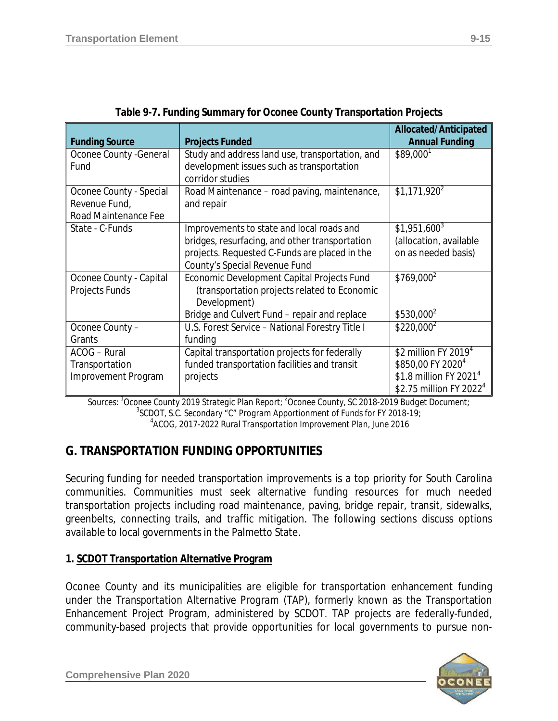|                         |                                                 | Allocated/Anticipated               |
|-------------------------|-------------------------------------------------|-------------------------------------|
| <b>Funding Source</b>   | <b>Projects Funded</b>                          | <b>Annual Funding</b>               |
| Oconee County - General | Study and address land use, transportation, and | $$89,000$ <sup>1</sup>              |
| Fund                    | development issues such as transportation       |                                     |
|                         | corridor studies                                |                                     |
| Oconee County - Special | Road Maintenance - road paving, maintenance,    | $$1,171,920^2$                      |
| Revenue Fund,           | and repair                                      |                                     |
| Road Maintenance Fee    |                                                 |                                     |
| State - C-Funds         | Improvements to state and local roads and       | $$1,951,600^3$                      |
|                         | bridges, resurfacing, and other transportation  | (allocation, available              |
|                         | projects. Requested C-Funds are placed in the   | on as needed basis)                 |
|                         | County's Special Revenue Fund                   |                                     |
| Oconee County - Capital | Economic Development Capital Projects Fund      | $$769,000^2$                        |
| Projects Funds          | (transportation projects related to Economic    |                                     |
|                         | Development)                                    |                                     |
|                         | Bridge and Culvert Fund - repair and replace    | \$530,000 <sup>2</sup>              |
| Oconee County -         | U.S. Forest Service - National Forestry Title I | \$220,000 <sup>2</sup>              |
| Grants                  | funding                                         |                                     |
| ACOG - Rural            | Capital transportation projects for federally   | \$2 million FY 2019 $4$             |
| Transportation          | funded transportation facilities and transit    | \$850,00 FY 2020 <sup>4</sup>       |
| Improvement Program     | projects                                        | \$1.8 million FY 2021 <sup>4</sup>  |
|                         |                                                 | \$2.75 million FY 2022 <sup>4</sup> |

| Table 9-7. Funding Summary for Oconee County Transportation Projects |  |
|----------------------------------------------------------------------|--|
|                                                                      |  |
|                                                                      |  |
|                                                                      |  |

*Sources: <sup>1</sup> Oconee County 2019 Strategic Plan Report; <sup>2</sup> Oconee County, SC 2018-2019 Budget Document; 3 SCDOT, S.C. Secondary "C" Program Apportionment of Funds for FY 2018-19; 4 ACOG, 2017-2022 Rural Transportation Improvement Plan, June 2016*

# **G. TRANSPORTATION FUNDING OPPORTUNITIES**

Securing funding for needed transportation improvements is a top priority for South Carolina communities. Communities must seek alternative funding resources for much needed transportation projects including road maintenance, paving, bridge repair, transit, sidewalks, greenbelts, connecting trails, and traffic mitigation. The following sections discuss options available to local governments in the Palmetto State.

## **1. SCDOT Transportation Alternative Program**

Oconee County and its municipalities are eligible for transportation enhancement funding under the *Transportation Alternative Program* (TAP), formerly known as the Transportation Enhancement Project Program, administered by SCDOT. TAP projects are federally-funded, community-based projects that provide opportunities for local governments to pursue non-

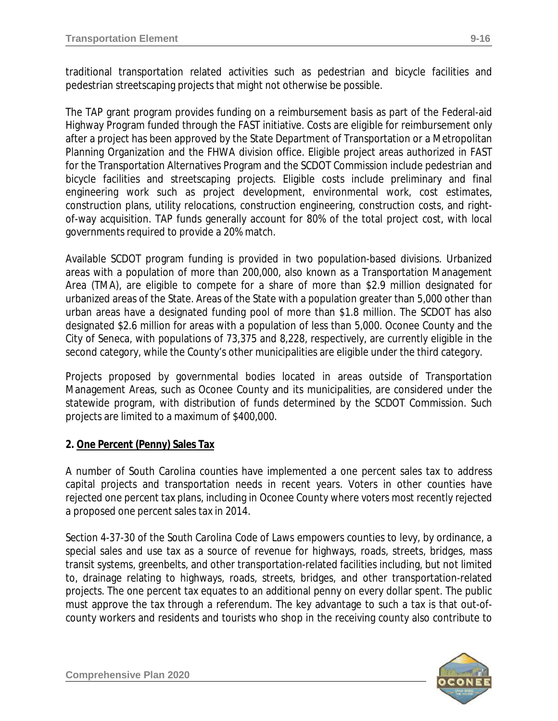traditional transportation related activities such as pedestrian and bicycle facilities and pedestrian streetscaping projects that might not otherwise be possible.

The TAP grant program provides funding on a reimbursement basis as part of the Federal-aid Highway Program funded through the FAST initiative. Costs are eligible for reimbursement only after a project has been approved by the State Department of Transportation or a Metropolitan Planning Organization and the FHWA division office. Eligible project areas authorized in FAST for the Transportation Alternatives Program and the SCDOT Commission include pedestrian and bicycle facilities and streetscaping projects. Eligible costs include preliminary and final engineering work such as project development, environmental work, cost estimates, construction plans, utility relocations, construction engineering, construction costs, and rightof-way acquisition. TAP funds generally account for 80% of the total project cost, with local governments required to provide a 20% match.

Available SCDOT program funding is provided in two population-based divisions. Urbanized areas with a population of more than 200,000, also known as a Transportation Management Area (TMA), are eligible to compete for a share of more than \$2.9 million designated for urbanized areas of the State. Areas of the State with a population greater than 5,000 other than urban areas have a designated funding pool of more than \$1.8 million. The SCDOT has also designated \$2.6 million for areas with a population of less than 5,000. Oconee County and the City of Seneca, with populations of 73,375 and 8,228, respectively, are currently eligible in the second category, while the County's other municipalities are eligible under the third category.

Projects proposed by governmental bodies located in areas outside of Transportation Management Areas, such as Oconee County and its municipalities, are considered under the statewide program, with distribution of funds determined by the SCDOT Commission. Such projects are limited to a maximum of \$400,000.

#### **2. One Percent (Penny) Sales Tax**

A number of South Carolina counties have implemented a one percent sales tax to address capital projects and transportation needs in recent years. Voters in other counties have rejected one percent tax plans, including in Oconee County where voters most recently rejected a proposed one percent sales tax in 2014.

*Section 4-37-30* of the *South Carolina Code of Laws* empowers counties to levy, by ordinance, a special sales and use tax as a source of revenue for highways, roads, streets, bridges, mass transit systems, greenbelts, and other transportation-related facilities including, but not limited to, drainage relating to highways, roads, streets, bridges, and other transportation-related projects. The one percent tax equates to an additional penny on every dollar spent. The public must approve the tax through a referendum. The key advantage to such a tax is that out-ofcounty workers and residents and tourists who shop in the receiving county also contribute to

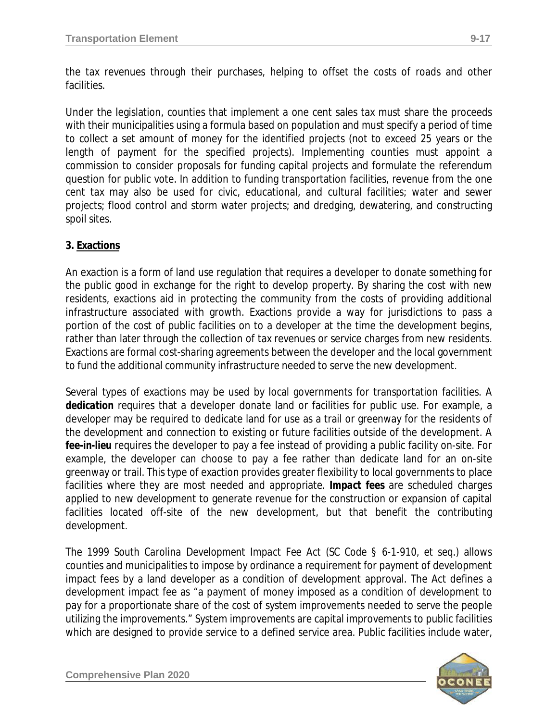Under the legislation, counties that implement a one cent sales tax must share the proceeds with their municipalities using a formula based on population and must specify a period of time to collect a set amount of money for the identified projects (not to exceed 25 years or the length of payment for the specified projects). Implementing counties must appoint a commission to consider proposals for funding capital projects and formulate the referendum question for public vote. In addition to funding transportation facilities, revenue from the one cent tax may also be used for civic, educational, and cultural facilities; water and sewer projects; flood control and storm water projects; and dredging, dewatering, and constructing spoil sites.

## **3. Exactions**

An exaction is a form of land use regulation that requires a developer to donate something for the public good in exchange for the right to develop property. By sharing the cost with new residents, exactions aid in protecting the community from the costs of providing additional infrastructure associated with growth. Exactions provide a way for jurisdictions to pass a portion of the cost of public facilities on to a developer at the time the development begins, rather than later through the collection of tax revenues or service charges from new residents. Exactions are formal cost-sharing agreements between the developer and the local government to fund the additional community infrastructure needed to serve the new development.

Several types of exactions may be used by local governments for transportation facilities. A *dedication* requires that a developer donate land or facilities for public use. For example, a developer may be required to dedicate land for use as a trail or greenway for the residents of the development and connection to existing or future facilities outside of the development. A *fee-in-lieu* requires the developer to pay a fee instead of providing a public facility on-site. For example, the developer can choose to pay a fee rather than dedicate land for an on-site greenway or trail. This type of exaction provides greater flexibility to local governments to place facilities where they are most needed and appropriate. *Impact fees* are scheduled charges applied to new development to generate revenue for the construction or expansion of capital facilities located off-site of the new development, but that benefit the contributing development.

The *1999 South Carolina Development Impact Fee Act (SC Code § 6-1-910, et seq.)* allows counties and municipalities to impose by ordinance a requirement for payment of development impact fees by a land developer as a condition of development approval. The Act defines a development impact fee as "a payment of money imposed as a condition of development to pay for a proportionate share of the cost of system improvements needed to serve the people utilizing the improvements." System improvements are capital improvements to public facilities which are designed to provide service to a defined service area. Public facilities include water,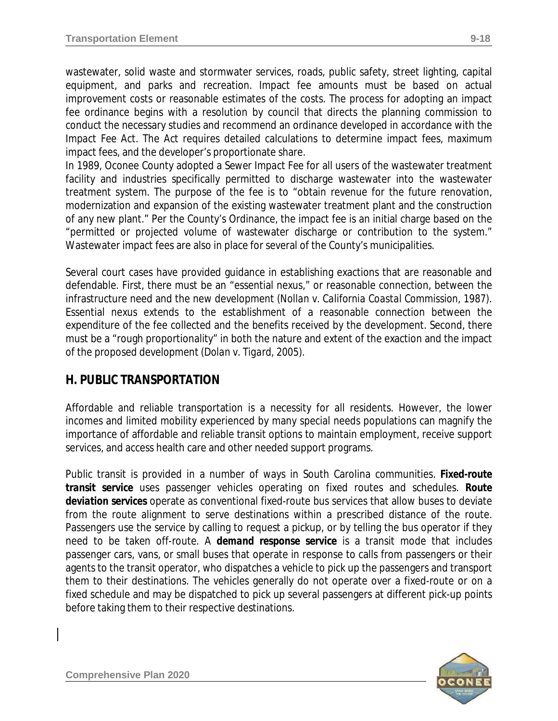wastewater, solid waste and stormwater services, roads, public safety, street lighting, capital equipment, and parks and recreation. Impact fee amounts must be based on actual improvement costs or reasonable estimates of the costs. The process for adopting an impact fee ordinance begins with a resolution by council that directs the planning commission to conduct the necessary studies and recommend an ordinance developed in accordance with the *Impact Fee Act*. The Act requires detailed calculations to determine impact fees, maximum impact fees, and the developer's proportionate share.

In 1989, Oconee County adopted a *Sewer Impact Fee* for all users of the wastewater treatment facility and industries specifically permitted to discharge wastewater into the wastewater treatment system. The purpose of the fee is to "obtain revenue for the future renovation, modernization and expansion of the existing wastewater treatment plant and the construction of any new plant." Per the County's Ordinance, the impact fee is an initial charge based on the "permitted or projected volume of wastewater discharge or contribution to the system." Wastewater impact fees are also in place for several of the County's municipalities.

Several court cases have provided guidance in establishing exactions that are reasonable and defendable. First, there must be an "essential nexus," or reasonable connection, between the infrastructure need and the new development *(Nollan v. California Coastal Commission, 1987)*. Essential nexus extends to the establishment of a reasonable connection between the expenditure of the fee collected and the benefits received by the development. Second, there must be a "rough proportionality" in both the nature and extent of the exaction and the impact of the proposed development *(Dolan v. Tigard, 2005)*.

# **H. PUBLIC TRANSPORTATION**

Affordable and reliable transportation is a necessity for all residents. However, the lower incomes and limited mobility experienced by many special needs populations can magnify the importance of affordable and reliable transit options to maintain employment, receive support services, and access health care and other needed support programs.

Public transit is provided in a number of ways in South Carolina communities. *Fixed-route transit service* uses passenger vehicles operating on fixed routes and schedules. *Route deviation services* operate as conventional fixed-route bus services that allow buses to deviate from the route alignment to serve destinations within a prescribed distance of the route. Passengers use the service by calling to request a pickup, or by telling the bus operator if they need to be taken off-route. A *demand response service* is a transit mode that includes passenger cars, vans, or small buses that operate in response to calls from passengers or their agents to the transit operator, who dispatches a vehicle to pick up the passengers and transport them to their destinations. The vehicles generally do not operate over a fixed-route or on a fixed schedule and may be dispatched to pick up several passengers at different pick-up points before taking them to their respective destinations.

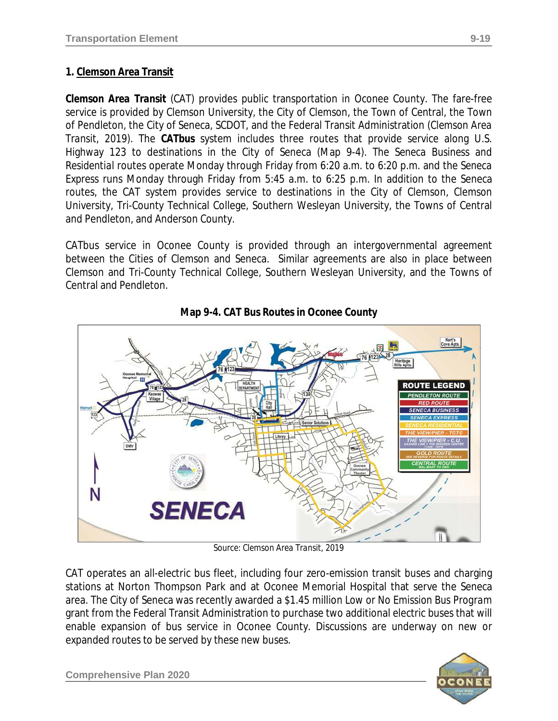# **1. Clemson Area Transit**

*Clemson Area Transit* (CAT) provides public transportation in Oconee County. The fare-free service is provided by Clemson University, the City of Clemson, the Town of Central, the Town of Pendleton, the City of Seneca, SCDOT, and the Federal Transit Administration *(Clemson Area Transit, 2019)*. The *CATbus* system includes three routes that provide service along U.S. Highway 123 to destinations in the City of Seneca (Map 9-4). The *Seneca Business* and *Residential* routes operate Monday through Friday from 6:20 a.m. to 6:20 p.m. and the *Seneca Express* runs Monday through Friday from 5:45 a.m. to 6:25 p.m. In addition to the Seneca routes, the CAT system provides service to destinations in the City of Clemson, Clemson University, Tri-County Technical College, Southern Wesleyan University, the Towns of Central and Pendleton, and Anderson County.

CATbus service in Oconee County is provided through an intergovernmental agreement between the Cities of Clemson and Seneca. Similar agreements are also in place between Clemson and Tri-County Technical College, Southern Wesleyan University, and the Towns of Central and Pendleton.



**Map 9-4. CAT Bus Routes in Oconee County**

*Source: Clemson Area Transit, 2019*

CAT operates an all-electric bus fleet, including four zero-emission transit buses and charging stations at Norton Thompson Park and at Oconee Memorial Hospital that serve the Seneca area. The City of Seneca was recently awarded a \$1.45 million *Low or No Emission Bus Program* grant from the Federal Transit Administration to purchase two additional electric buses that will enable expansion of bus service in Oconee County. Discussions are underway on new or expanded routes to be served by these new buses.



**Comprehensive Plan 2020**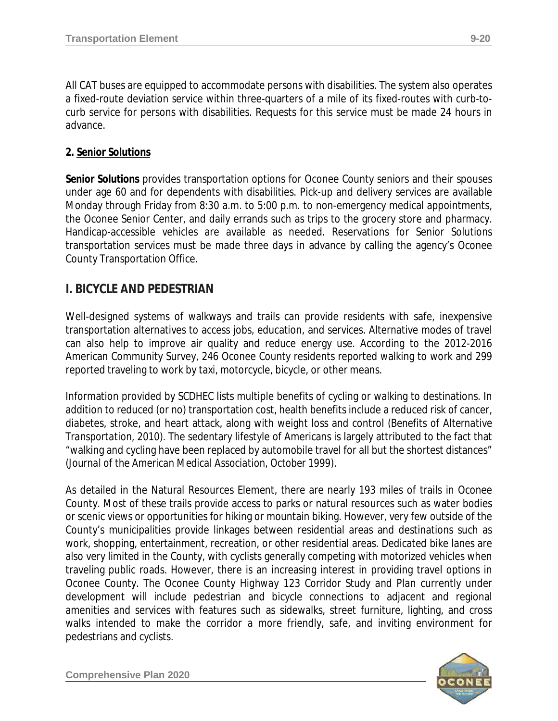All CAT buses are equipped to accommodate persons with disabilities. The system also operates a fixed-route deviation service within three-quarters of a mile of its fixed-routes with curb-tocurb service for persons with disabilities. Requests for this service must be made 24 hours in advance.

### **2. Senior Solutions**

*Senior Solutions* provides transportation options for Oconee County seniors and their spouses under age 60 and for dependents with disabilities. Pick-up and delivery services are available Monday through Friday from 8:30 a.m. to 5:00 p.m. to non-emergency medical appointments, the Oconee Senior Center, and daily errands such as trips to the grocery store and pharmacy. Handicap-accessible vehicles are available as needed. Reservations for Senior Solutions transportation services must be made three days in advance by calling the agency's Oconee County Transportation Office.

## **I. BICYCLE AND PEDESTRIAN**

Well-designed systems of walkways and trails can provide residents with safe, inexpensive transportation alternatives to access jobs, education, and services. Alternative modes of travel can also help to improve air quality and reduce energy use. According to the 2012-2016 American Community Survey, 246 Oconee County residents reported walking to work and 299 reported traveling to work by taxi, motorcycle, bicycle, or other means.

Information provided by SCDHEC lists multiple benefits of cycling or walking to destinations. In addition to reduced (or no) transportation cost, health benefits include a reduced risk of cancer, diabetes, stroke, and heart attack, along with weight loss and control (*Benefits of Alternative Transportation, 2010).* The sedentary lifestyle of Americans is largely attributed to the fact that "walking and cycling have been replaced by automobile travel for all but the shortest distances" *(Journal of the American Medical Association, October 1999).*

As detailed in the Natural Resources Element, there are nearly 193 miles of trails in Oconee County. Most of these trails provide access to parks or natural resources such as water bodies or scenic views or opportunities for hiking or mountain biking. However, very few outside of the County's municipalities provide linkages between residential areas and destinations such as work, shopping, entertainment, recreation, or other residential areas. Dedicated bike lanes are also very limited in the County, with cyclists generally competing with motorized vehicles when traveling public roads. However, there is an increasing interest in providing travel options in Oconee County. The Oconee County *Highway 123 Corridor Study and Plan* currently under development will include pedestrian and bicycle connections to adjacent and regional amenities and services with features such as sidewalks, street furniture, lighting, and cross walks intended to make the corridor a more friendly, safe, and inviting environment for pedestrians and cyclists.

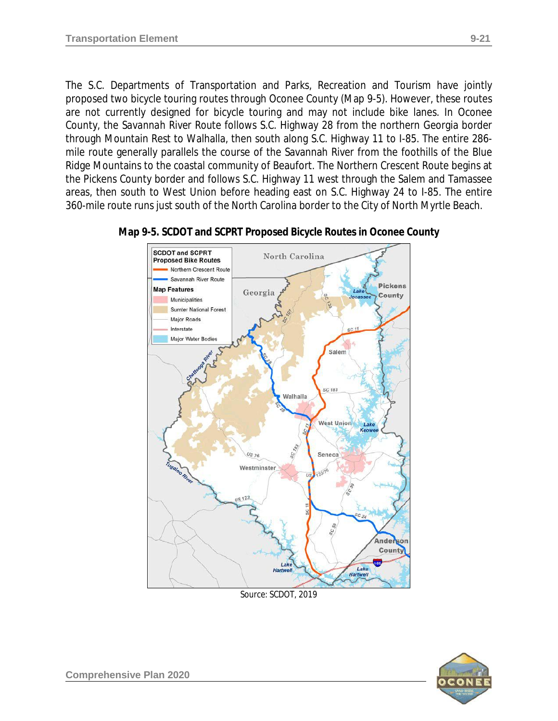The S.C. Departments of Transportation and Parks, Recreation and Tourism have jointly proposed two bicycle touring routes through Oconee County (Map 9-5). However, these routes are not currently designed for bicycle touring and may not include bike lanes. In Oconee County, the *Savannah River Route* follows S.C. Highway 28 from the northern Georgia border through Mountain Rest to Walhalla, then south along S.C. Highway 11 to I-85. The entire 286 mile route generally parallels the course of the Savannah River from the foothills of the Blue Ridge Mountains to the coastal community of Beaufort. The Northern Crescent Route begins at the Pickens County border and follows S.C. Highway 11 west through the Salem and Tamassee areas, then south to West Union before heading east on S.C. Highway 24 to I-85. The entire 360-mile route runs just south of the North Carolina border to the City of North Myrtle Beach.



#### **Map 9-5. SCDOT and SCPRT Proposed Bicycle Routes in Oconee County**

*Source: SCDOT, 2019*

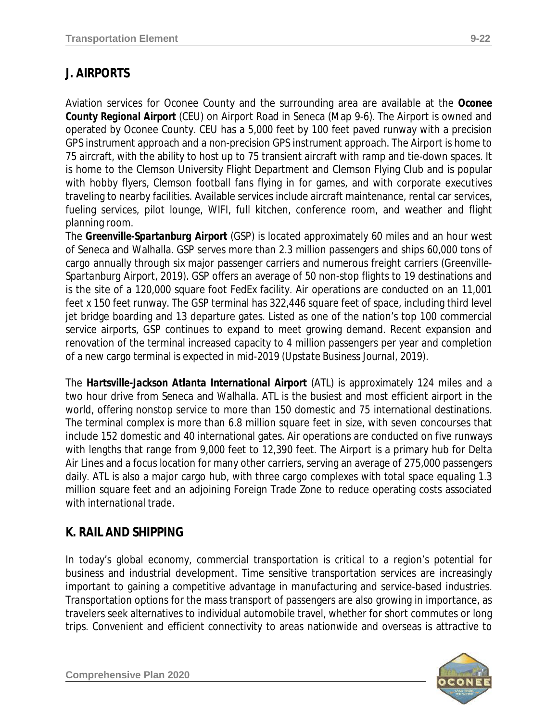# **J. AIRPORTS**

Aviation services for Oconee County and the surrounding area are available at the *Oconee County Regional Airport* (CEU) on Airport Road in Seneca (Map 9-6). The Airport is owned and operated by Oconee County. CEU has a 5,000 feet by 100 feet paved runway with a precision GPS instrument approach and a non-precision GPS instrument approach. The Airport is home to 75 aircraft, with the ability to host up to 75 transient aircraft with ramp and tie-down spaces. It is home to the Clemson University Flight Department and Clemson Flying Club and is popular with hobby flyers, Clemson football fans flying in for games, and with corporate executives traveling to nearby facilities. Available services include aircraft maintenance, rental car services, fueling services, pilot lounge, WIFI, full kitchen, conference room, and weather and flight planning room.

The *Greenville-Spartanburg Airport* (GSP) is located approximately 60 miles and an hour west of Seneca and Walhalla. GSP serves more than 2.3 million passengers and ships 60,000 tons of cargo annually through six major passenger carriers and numerous freight carriers *(Greenville-Spartanburg Airport, 2019)*. GSP offers an average of 50 non-stop flights to 19 destinations and is the site of a 120,000 square foot FedEx facility. Air operations are conducted on an 11,001 feet x 150 feet runway. The GSP terminal has 322,446 square feet of space, including third level jet bridge boarding and 13 departure gates. Listed as one of the nation's top 100 commercial service airports, GSP continues to expand to meet growing demand. Recent expansion and renovation of the terminal increased capacity to 4 million passengers per year and completion of a new cargo terminal is expected in mid-2019 *(Upstate Business Journal, 2019)*.

The *Hartsville-Jackson Atlanta International Airport* (ATL) is approximately 124 miles and a two hour drive from Seneca and Walhalla. ATL is the busiest and most efficient airport in the world, offering nonstop service to more than 150 domestic and 75 international destinations. The terminal complex is more than 6.8 million square feet in size, with seven concourses that include 152 domestic and 40 international gates. Air operations are conducted on five runways with lengths that range from 9,000 feet to 12,390 feet. The Airport is a primary hub for Delta Air Lines and a focus location for many other carriers, serving an average of 275,000 passengers daily. ATL is also a major cargo hub, with three cargo complexes with total space equaling 1.3 million square feet and an adjoining Foreign Trade Zone to reduce operating costs associated with international trade.

# **K. RAIL AND SHIPPING**

In today's global economy, commercial transportation is critical to a region's potential for business and industrial development. Time sensitive transportation services are increasingly important to gaining a competitive advantage in manufacturing and service-based industries. Transportation options for the mass transport of passengers are also growing in importance, as travelers seek alternatives to individual automobile travel, whether for short commutes or long trips. Convenient and efficient connectivity to areas nationwide and overseas is attractive to

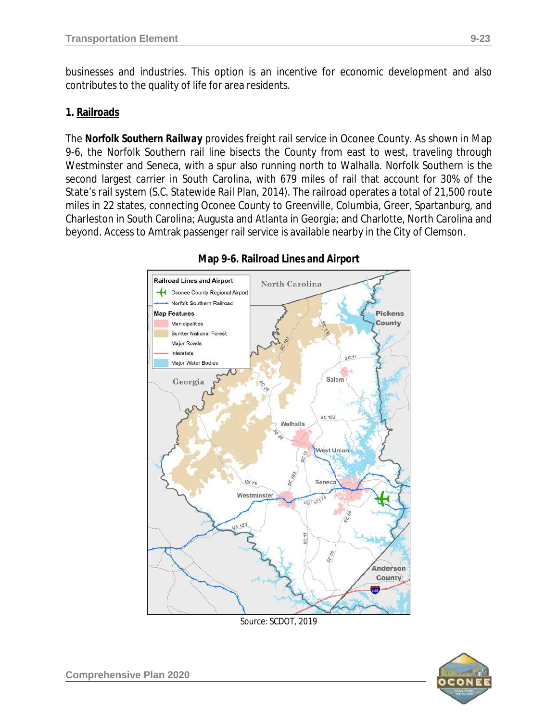businesses and industries. This option is an incentive for economic development and also contributes to the quality of life for area residents.

#### **1. Railroads**

The *Norfolk Southern Railway* provides freight rail service in Oconee County. As shown in Map 9-6, the Norfolk Southern rail line bisects the County from east to west, traveling through Westminster and Seneca, with a spur also running north to Walhalla. Norfolk Southern is the second largest carrier in South Carolina, with 679 miles of rail that account for 30% of the State's rail system *(S.C. Statewide Rail Plan, 2014)*. The railroad operates a total of 21,500 route miles in 22 states, connecting Oconee County to Greenville, Columbia, Greer, Spartanburg, and Charleston in South Carolina; Augusta and Atlanta in Georgia; and Charlotte, North Carolina and beyond. Access to Amtrak passenger rail service is available nearby in the City of Clemson.



#### **Map 9-6. Railroad Lines and Airport**

*Source: SCDOT, 2019*

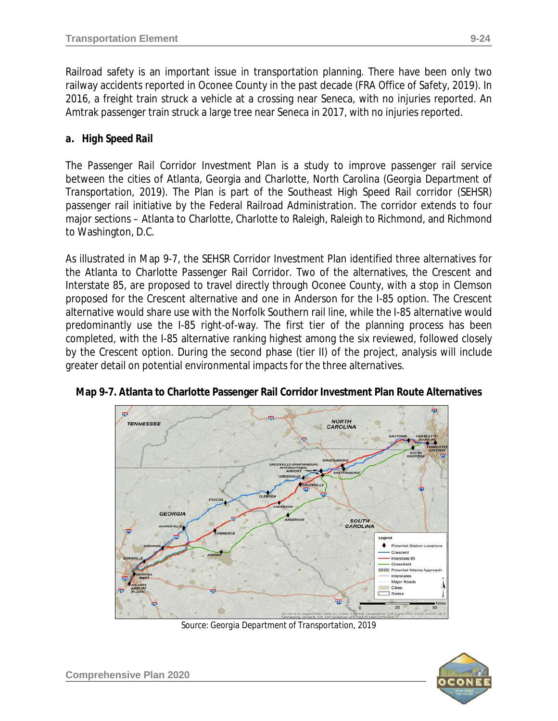Railroad safety is an important issue in transportation planning. There have been only two railway accidents reported in Oconee County in the past decade *(FRA Office of Safety, 2019)*. In 2016, a freight train struck a vehicle at a crossing near Seneca, with no injuries reported. An Amtrak passenger train struck a large tree near Seneca in 2017, with no injuries reported.

### *a. High Speed Rail*

The *Passenger Rail Corridor Investment Plan* is a study to improve passenger rail service between the cities of Atlanta, Georgia and Charlotte, North Carolina *(Georgia Department of Transportation, 2019)*. The Plan is part of the Southeast High Speed Rail corridor (SEHSR) passenger rail initiative by the Federal Railroad Administration. The corridor extends to four major sections – Atlanta to Charlotte, Charlotte to Raleigh, Raleigh to Richmond, and Richmond to Washington, D.C.

As illustrated in Map 9-7, the SEHSR Corridor Investment Plan identified three alternatives for the Atlanta to Charlotte Passenger Rail Corridor. Two of the alternatives, the Crescent and Interstate 85, are proposed to travel directly through Oconee County, with a stop in Clemson proposed for the Crescent alternative and one in Anderson for the I-85 option. The Crescent alternative would share use with the Norfolk Southern rail line, while the I-85 alternative would predominantly use the I-85 right-of-way. The first tier of the planning process has been completed, with the I-85 alternative ranking highest among the six reviewed, followed closely by the Crescent option. During the second phase (tier II) of the project, analysis will include greater detail on potential environmental impacts for the three alternatives.



**Map 9-7. Atlanta to Charlotte Passenger Rail Corridor Investment Plan Route Alternatives**

*Source: Georgia Department of Transportation, 2019*

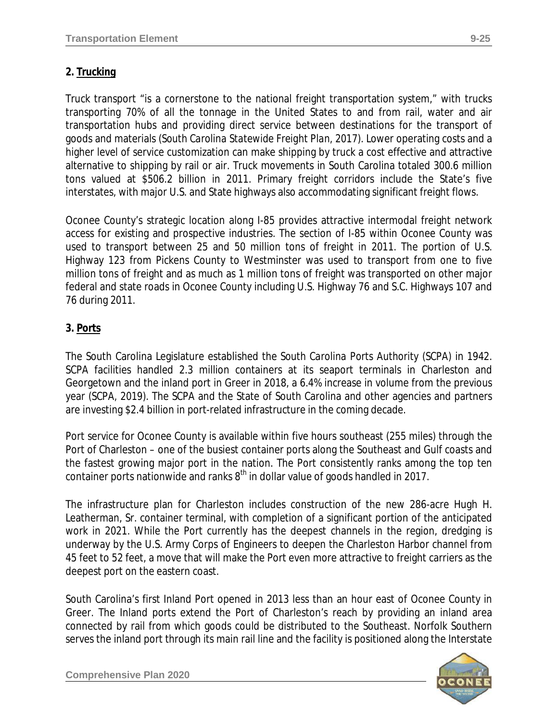Truck transport "is a cornerstone to the national freight transportation system," with trucks transporting 70% of all the tonnage in the United States to and from rail, water and air transportation hubs and providing direct service between destinations for the transport of goods and materials *(South Carolina Statewide Freight Plan, 2017).* Lower operating costs and a higher level of service customization can make shipping by truck a cost effective and attractive alternative to shipping by rail or air. Truck movements in South Carolina totaled 300.6 million tons valued at \$506.2 billion in 2011. Primary freight corridors include the State's five interstates, with major U.S. and State highways also accommodating significant freight flows*.*

Oconee County's strategic location along I-85 provides attractive intermodal freight network access for existing and prospective industries. The section of I-85 within Oconee County was used to transport between 25 and 50 million tons of freight in 2011. The portion of U.S. Highway 123 from Pickens County to Westminster was used to transport from one to five million tons of freight and as much as 1 million tons of freight was transported on other major federal and state roads in Oconee County including U.S. Highway 76 and S.C. Highways 107 and 76 during 2011.

## **3. Ports**

The South Carolina Legislature established the *South Carolina Ports Authority (SCPA)* in 1942. SCPA facilities handled 2.3 million containers at its seaport terminals in Charleston and Georgetown and the inland port in Greer in 2018, a 6.4% increase in volume from the previous year *(SCPA, 2019)*. The SCPA and the State of South Carolina and other agencies and partners are investing \$2.4 billion in port-related infrastructure in the coming decade.

Port service for Oconee County is available within five hours southeast (255 miles) through the Port of Charleston – one of the busiest container ports along the Southeast and Gulf coasts and the fastest growing major port in the nation. The Port consistently ranks among the top ten container ports nationwide and ranks  $8<sup>th</sup>$  in dollar value of goods handled in 2017.

The infrastructure plan for Charleston includes construction of the new 286-acre Hugh H. Leatherman, Sr. container terminal, with completion of a significant portion of the anticipated work in 2021. While the Port currently has the deepest channels in the region, dredging is underway by the U.S. Army Corps of Engineers to deepen the Charleston Harbor channel from 45 feet to 52 feet, a move that will make the Port even more attractive to freight carriers as the deepest port on the eastern coast.

South Carolina's first Inland Port opened in 2013 less than an hour east of Oconee County in Greer. The Inland ports extend the Port of Charleston's reach by providing an inland area connected by rail from which goods could be distributed to the Southeast. Norfolk Southern serves the inland port through its main rail line and the facility is positioned along the Interstate

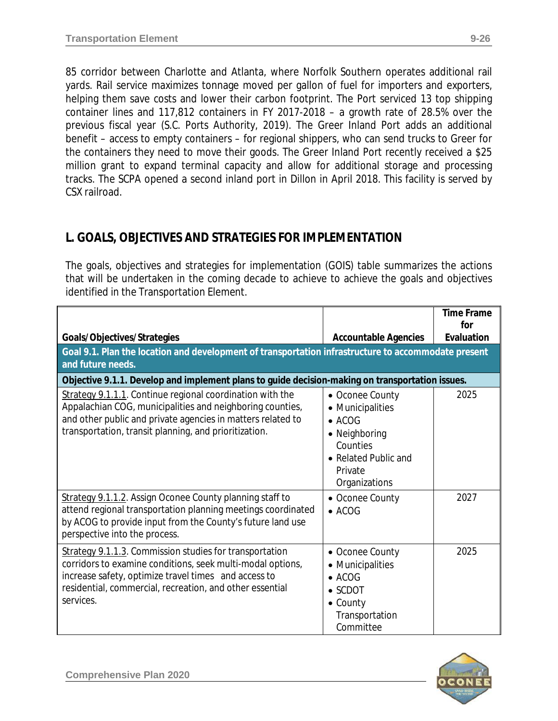85 corridor between Charlotte and Atlanta, where Norfolk Southern operates additional rail yards. Rail service maximizes tonnage moved per gallon of fuel for importers and exporters, helping them save costs and lower their carbon footprint. The Port serviced 13 top shipping container lines and 117,812 containers in FY 2017-2018 – a growth rate of 28.5% over the previous fiscal year (*S.C. Ports Authority, 2019*). The Greer Inland Port adds an additional benefit – access to empty containers – for regional shippers, who can send trucks to Greer for the containers they need to move their goods. The Greer Inland Port recently received a \$25 million grant to expand terminal capacity and allow for additional storage and processing tracks. The SCPA opened a second inland port in Dillon in April 2018. This facility is served by CSX railroad.

# **L. GOALS, OBJECTIVES AND STRATEGIES FOR IMPLEMENTATION**

The goals, objectives and strategies for implementation (GOIS) table summarizes the actions that will be undertaken in the coming decade to achieve to achieve the goals and objectives identified in the Transportation Element.

|                                                                                                                                                                                                                                                        |                                                                                                                                        | <b>Time Frame</b><br>for |
|--------------------------------------------------------------------------------------------------------------------------------------------------------------------------------------------------------------------------------------------------------|----------------------------------------------------------------------------------------------------------------------------------------|--------------------------|
| Goals/Objectives/Strategies                                                                                                                                                                                                                            | <b>Accountable Agencies</b>                                                                                                            | Evaluation               |
| Goal 9.1. Plan the location and development of transportation infrastructure to accommodate present<br>and future needs.                                                                                                                               |                                                                                                                                        |                          |
| Objective 9.1.1. Develop and implement plans to guide decision-making on transportation issues.                                                                                                                                                        |                                                                                                                                        |                          |
| Strategy 9.1.1.1. Continue regional coordination with the<br>Appalachian COG, municipalities and neighboring counties,<br>and other public and private agencies in matters related to<br>transportation, transit planning, and prioritization.         | • Oconee County<br>• Municipalities<br>$\bullet$ ACOG<br>• Neighboring<br>Counties<br>• Related Public and<br>Private<br>Organizations | 2025                     |
| Strategy 9.1.1.2. Assign Oconee County planning staff to<br>attend regional transportation planning meetings coordinated<br>by ACOG to provide input from the County's future land use<br>perspective into the process.                                | • Oconee County<br>$\bullet$ ACOG                                                                                                      | 2027                     |
| Strategy 9.1.1.3. Commission studies for transportation<br>corridors to examine conditions, seek multi-modal options,<br>increase safety, optimize travel times and access to<br>residential, commercial, recreation, and other essential<br>services. | • Oconee County<br>• Municipalities<br>$\bullet$ ACOG<br>$\bullet$ SCDOT<br>$\bullet$ County<br>Transportation<br>Committee            | 2025                     |

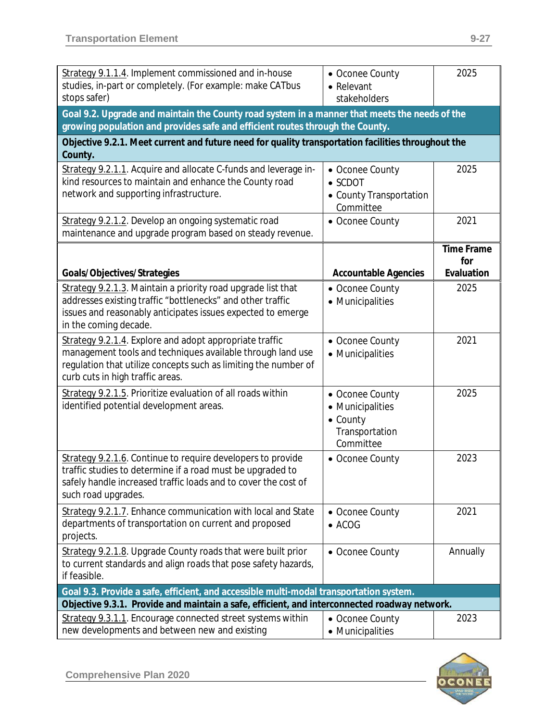| Strategy 9.1.1.4. Implement commissioned and in-house<br>studies, in-part or completely. (For example: make CATbus<br>stops safer)                                                                                           | • Oconee County<br>• Relevant<br>stakeholders                                          | 2025                                   |  |  |
|------------------------------------------------------------------------------------------------------------------------------------------------------------------------------------------------------------------------------|----------------------------------------------------------------------------------------|----------------------------------------|--|--|
| Goal 9.2. Upgrade and maintain the County road system in a manner that meets the needs of the<br>growing population and provides safe and efficient routes through the County.                                               |                                                                                        |                                        |  |  |
| Objective 9.2.1. Meet current and future need for quality transportation facilities throughout the<br>County.                                                                                                                |                                                                                        |                                        |  |  |
| Strategy 9.2.1.1. Acquire and allocate C-funds and leverage in-<br>kind resources to maintain and enhance the County road<br>network and supporting infrastructure.                                                          | • Oconee County<br>$\bullet$ SCDOT<br>• County Transportation<br>Committee             | 2025                                   |  |  |
| Strategy 9.2.1.2. Develop an ongoing systematic road<br>maintenance and upgrade program based on steady revenue.                                                                                                             | • Oconee County                                                                        | 2021                                   |  |  |
| Goals/Objectives/Strategies                                                                                                                                                                                                  | <b>Accountable Agencies</b>                                                            | <b>Time Frame</b><br>for<br>Evaluation |  |  |
| Strategy 9.2.1.3. Maintain a priority road upgrade list that<br>addresses existing traffic "bottlenecks" and other traffic<br>issues and reasonably anticipates issues expected to emerge<br>in the coming decade.           | • Oconee County<br>• Municipalities                                                    | 2025                                   |  |  |
| Strategy 9.2.1.4. Explore and adopt appropriate traffic<br>management tools and techniques available through land use<br>regulation that utilize concepts such as limiting the number of<br>curb cuts in high traffic areas. | • Oconee County<br>• Municipalities                                                    | 2021                                   |  |  |
| Strategy 9.2.1.5. Prioritize evaluation of all roads within<br>identified potential development areas.                                                                                                                       | • Oconee County<br>• Municipalities<br>$\bullet$ County<br>Transportation<br>Committee | 2025                                   |  |  |
| Strategy 9.2.1.6. Continue to require developers to provide<br>traffic studies to determine if a road must be upgraded to<br>safely handle increased traffic loads and to cover the cost of<br>such road upgrades.           | • Oconee County                                                                        | 2023                                   |  |  |
| Strategy 9.2.1.7. Enhance communication with local and State<br>departments of transportation on current and proposed<br>projects.                                                                                           | • Oconee County<br>$\bullet$ ACOG                                                      | 2021                                   |  |  |
| Strategy 9.2.1.8. Upgrade County roads that were built prior<br>to current standards and align roads that pose safety hazards,<br>if feasible.                                                                               | • Oconee County                                                                        | Annually                               |  |  |
| Goal 9.3. Provide a safe, efficient, and accessible multi-modal transportation system.                                                                                                                                       |                                                                                        |                                        |  |  |
| Objective 9.3.1. Provide and maintain a safe, efficient, and interconnected roadway network.<br>Strategy 9.3.1.1. Encourage connected street systems within<br>new developments and between new and existing                 | • Oconee County<br>• Municipalities                                                    | 2023                                   |  |  |

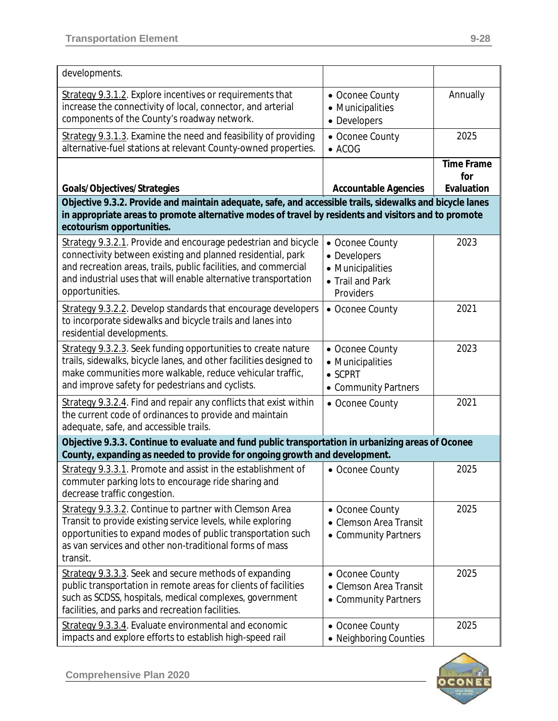| developments.                                                                                                                                                                                                                                                                         |                                                                                      |                                        |  |
|---------------------------------------------------------------------------------------------------------------------------------------------------------------------------------------------------------------------------------------------------------------------------------------|--------------------------------------------------------------------------------------|----------------------------------------|--|
| Strategy 9.3.1.2. Explore incentives or requirements that<br>increase the connectivity of local, connector, and arterial<br>components of the County's roadway network.                                                                                                               | • Oconee County<br>• Municipalities<br>• Developers                                  | Annually                               |  |
| Strategy 9.3.1.3. Examine the need and feasibility of providing<br>alternative-fuel stations at relevant County-owned properties.                                                                                                                                                     | • Oconee County<br>$\bullet$ ACOG                                                    | 2025                                   |  |
| Goals/Objectives/Strategies                                                                                                                                                                                                                                                           | <b>Accountable Agencies</b>                                                          | <b>Time Frame</b><br>for<br>Evaluation |  |
| Objective 9.3.2. Provide and maintain adequate, safe, and accessible trails, sidewalks and bicycle lanes                                                                                                                                                                              |                                                                                      |                                        |  |
| in appropriate areas to promote alternative modes of travel by residents and visitors and to promote<br>ecotourism opportunities.                                                                                                                                                     |                                                                                      |                                        |  |
| Strategy 9.3.2.1. Provide and encourage pedestrian and bicycle<br>connectivity between existing and planned residential, park<br>and recreation areas, trails, public facilities, and commercial<br>and industrial uses that will enable alternative transportation<br>opportunities. | • Oconee County<br>• Developers<br>• Municipalities<br>• Trail and Park<br>Providers | 2023                                   |  |
| Strategy 9.3.2.2. Develop standards that encourage developers<br>to incorporate sidewalks and bicycle trails and lanes into<br>residential developments.                                                                                                                              | • Oconee County                                                                      | 2021                                   |  |
| Strategy 9.3.2.3. Seek funding opportunities to create nature<br>trails, sidewalks, bicycle lanes, and other facilities designed to<br>make communities more walkable, reduce vehicular traffic,<br>and improve safety for pedestrians and cyclists.                                  | • Oconee County<br>• Municipalities<br>$\bullet$ SCPRT<br>• Community Partners       | 2023                                   |  |
| Strategy 9.3.2.4. Find and repair any conflicts that exist within<br>the current code of ordinances to provide and maintain<br>adequate, safe, and accessible trails.                                                                                                                 | • Oconee County                                                                      | 2021                                   |  |
| Objective 9.3.3. Continue to evaluate and fund public transportation in urbanizing areas of Oconee<br>County, expanding as needed to provide for ongoing growth and development.                                                                                                      |                                                                                      |                                        |  |
| Strategy 9.3.3.1. Promote and assist in the establishment of<br>commuter parking lots to encourage ride sharing and<br>decrease traffic congestion.                                                                                                                                   | • Oconee County                                                                      | 2025                                   |  |
| Strategy 9.3.3.2. Continue to partner with Clemson Area<br>Transit to provide existing service levels, while exploring<br>opportunities to expand modes of public transportation such<br>as van services and other non-traditional forms of mass<br>transit.                          | • Oconee County<br><b>Clemson Area Transit</b><br>• Community Partners               | 2025                                   |  |
| Strategy 9.3.3.3. Seek and secure methods of expanding<br>public transportation in remote areas for clients of facilities<br>such as SCDSS, hospitals, medical complexes, government<br>facilities, and parks and recreation facilities.                                              | • Oconee County<br><b>Clemson Area Transit</b><br>• Community Partners               | 2025                                   |  |
| Strategy 9.3.3.4. Evaluate environmental and economic<br>impacts and explore efforts to establish high-speed rail                                                                                                                                                                     | • Oconee County<br>• Neighboring Counties                                            | 2025                                   |  |